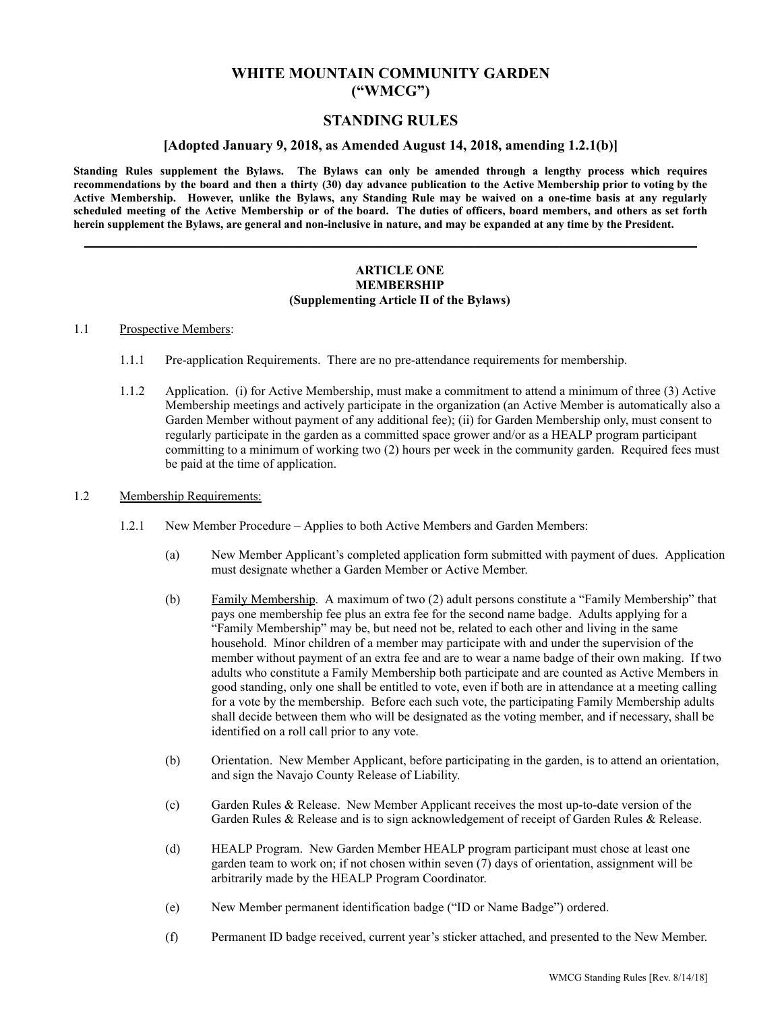## **WHITE MOUNTAIN COMMUNITY GARDEN ("WMCG")**

## **STANDING RULES**

### **[Adopted January 9, 2018, as Amended August 14, 2018, amending 1.2.1(b)]**

Standing Rules supplement the Bylaws. The Bylaws can only be amended through a lengthy process which requires recommendations by the board and then a thirty (30) day advance publication to the Active Membership prior to voting by the Active Membership. However, unlike the Bylaws, any Standing Rule may be waived on a one-time basis at any regularly scheduled meeting of the Active Membership or of the board. The duties of officers, board members, and others as set forth **herein supplement the Bylaws, are general and non-inclusive in nature, and may be expanded at any time by the President.**

\_\_\_\_\_\_\_\_\_\_\_\_\_\_\_\_\_\_\_\_\_\_\_\_\_\_\_\_\_\_\_\_\_\_\_\_\_\_\_\_\_\_\_\_\_\_\_\_\_\_\_\_\_\_\_\_\_\_\_\_\_\_\_\_\_\_\_\_\_\_\_\_\_\_\_\_\_\_\_\_

### **ARTICLE ONE MEMBERSHIP (Supplementing Article II of the Bylaws)**

### 1.1 Prospective Members:

- 1.1.1 Pre-application Requirements. There are no pre-attendance requirements for membership.
- 1.1.2 Application. (i) for Active Membership, must make a commitment to attend a minimum of three (3) Active Membership meetings and actively participate in the organization (an Active Member is automatically also a Garden Member without payment of any additional fee); (ii) for Garden Membership only, must consent to regularly participate in the garden as a committed space grower and/or as a HEALP program participant committing to a minimum of working two (2) hours per week in the community garden. Required fees must be paid at the time of application.

#### 1.2 Membership Requirements:

- 1.2.1 New Member Procedure Applies to both Active Members and Garden Members:
	- (a) New Member Applicant's completed application form submitted with payment of dues. Application must designate whether a Garden Member or Active Member.
	- (b) Family Membership. A maximum of two (2) adult persons constitute a "Family Membership" that pays one membership fee plus an extra fee for the second name badge. Adults applying for a "Family Membership" may be, but need not be, related to each other and living in the same household. Minor children of a member may participate with and under the supervision of the member without payment of an extra fee and are to wear a name badge of their own making. If two adults who constitute a Family Membership both participate and are counted as Active Members in good standing, only one shall be entitled to vote, even if both are in attendance at a meeting calling for a vote by the membership. Before each such vote, the participating Family Membership adults shall decide between them who will be designated as the voting member, and if necessary, shall be identified on a roll call prior to any vote.
	- (b) Orientation. New Member Applicant, before participating in the garden, is to attend an orientation, and sign the Navajo County Release of Liability.
	- (c) Garden Rules & Release. New Member Applicant receives the most up-to-date version of the Garden Rules & Release and is to sign acknowledgement of receipt of Garden Rules & Release.
	- (d) HEALP Program. New Garden Member HEALP program participant must chose at least one garden team to work on; if not chosen within seven (7) days of orientation, assignment will be arbitrarily made by the HEALP Program Coordinator.
	- (e) New Member permanent identification badge ("ID or Name Badge") ordered.
	- (f) Permanent ID badge received, current year's sticker attached, and presented to the New Member.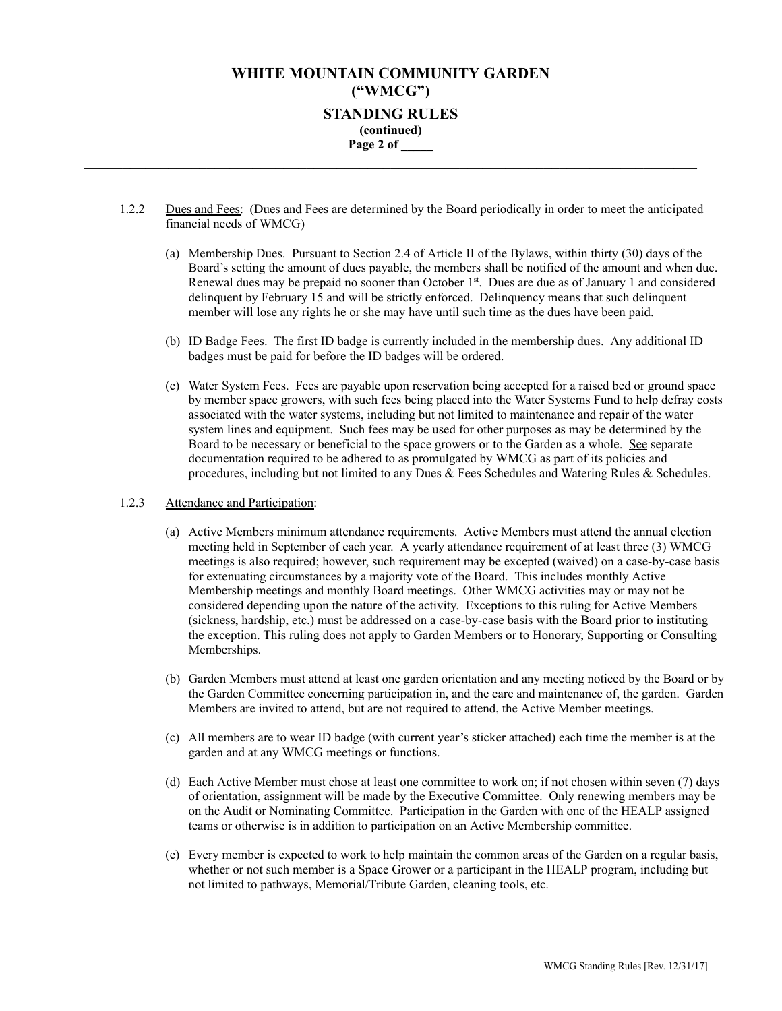## **WHITE MOUNTAIN COMMUNITY GARDEN ("WMCG") STANDING RULES (continued) Page 2 of \_\_\_\_\_ \_\_\_\_\_\_\_\_\_\_\_\_\_\_\_\_\_\_\_\_\_\_\_\_\_\_\_\_\_\_\_\_\_\_\_\_\_\_\_\_\_\_\_\_\_\_\_\_\_\_\_\_\_\_\_\_\_\_\_\_\_\_\_\_\_\_\_\_\_\_\_\_\_\_\_\_\_\_\_\_**

- 1.2.2 Dues and Fees: (Dues and Fees are determined by the Board periodically in order to meet the anticipated financial needs of WMCG)
	- (a) Membership Dues. Pursuant to Section 2.4 of Article II of the Bylaws, within thirty (30) days of the Board's setting the amount of dues payable, the members shall be notified of the amount and when due. Renewal dues may be prepaid no sooner than October 1<sup>st</sup>. Dues are due as of January 1 and considered delinquent by February 15 and will be strictly enforced. Delinquency means that such delinquent member will lose any rights he or she may have until such time as the dues have been paid.
	- (b) ID Badge Fees. The first ID badge is currently included in the membership dues. Any additional ID badges must be paid for before the ID badges will be ordered.
	- (c) Water System Fees. Fees are payable upon reservation being accepted for a raised bed or ground space by member space growers, with such fees being placed into the Water Systems Fund to help defray costs associated with the water systems, including but not limited to maintenance and repair of the water system lines and equipment. Such fees may be used for other purposes as may be determined by the Board to be necessary or beneficial to the space growers or to the Garden as a whole. See separate documentation required to be adhered to as promulgated by WMCG as part of its policies and procedures, including but not limited to any Dues & Fees Schedules and Watering Rules & Schedules.

### 1.2.3 Attendance and Participation:

- (a) Active Members minimum attendance requirements. Active Members must attend the annual election meeting held in September of each year. A yearly attendance requirement of at least three (3) WMCG meetings is also required; however, such requirement may be excepted (waived) on a case-by-case basis for extenuating circumstances by a majority vote of the Board. This includes monthly Active Membership meetings and monthly Board meetings. Other WMCG activities may or may not be considered depending upon the nature of the activity. Exceptions to this ruling for Active Members (sickness, hardship, etc.) must be addressed on a case-by-case basis with the Board prior to instituting the exception. This ruling does not apply to Garden Members or to Honorary, Supporting or Consulting Memberships.
- (b) Garden Members must attend at least one garden orientation and any meeting noticed by the Board or by the Garden Committee concerning participation in, and the care and maintenance of, the garden. Garden Members are invited to attend, but are not required to attend, the Active Member meetings.
- (c) All members are to wear ID badge (with current year's sticker attached) each time the member is at the garden and at any WMCG meetings or functions.
- (d) Each Active Member must chose at least one committee to work on; if not chosen within seven (7) days of orientation, assignment will be made by the Executive Committee. Only renewing members may be on the Audit or Nominating Committee. Participation in the Garden with one of the HEALP assigned teams or otherwise is in addition to participation on an Active Membership committee.
- (e) Every member is expected to work to help maintain the common areas of the Garden on a regular basis, whether or not such member is a Space Grower or a participant in the HEALP program, including but not limited to pathways, Memorial/Tribute Garden, cleaning tools, etc.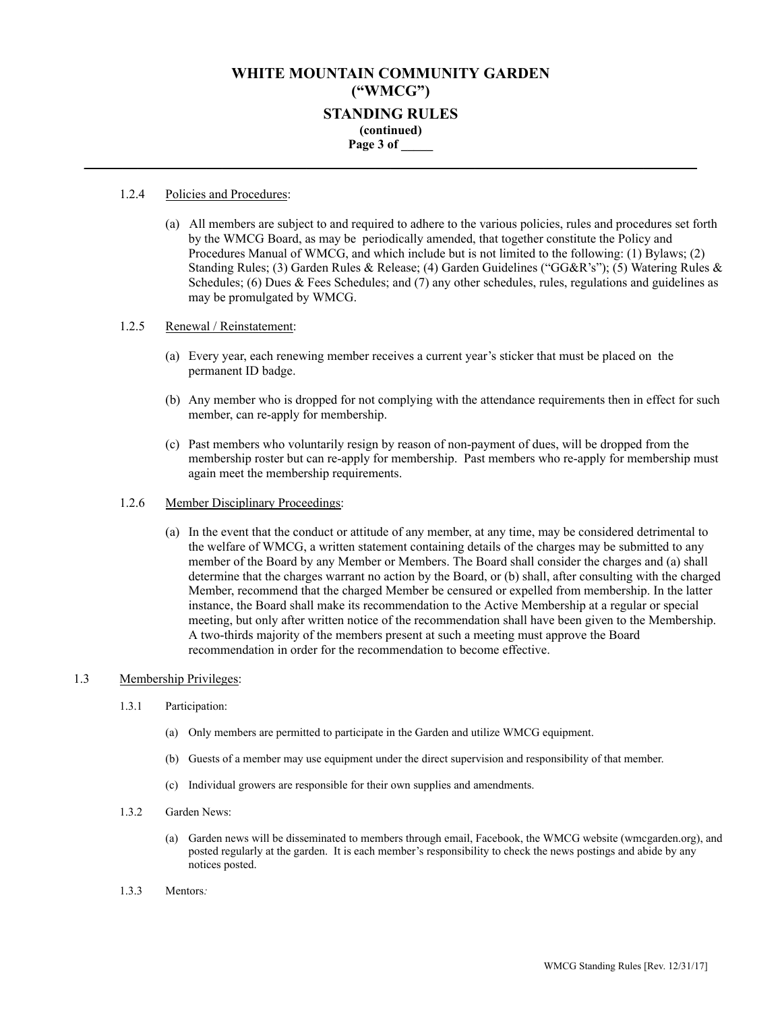## **WHITE MOUNTAIN COMMUNITY GARDEN ("WMCG") STANDING RULES (continued) Page 3 of \_\_\_\_\_ \_\_\_\_\_\_\_\_\_\_\_\_\_\_\_\_\_\_\_\_\_\_\_\_\_\_\_\_\_\_\_\_\_\_\_\_\_\_\_\_\_\_\_\_\_\_\_\_\_\_\_\_\_\_\_\_\_\_\_\_\_\_\_\_\_\_\_\_\_\_\_\_\_\_\_\_\_\_\_\_**

### 1.2.4 Policies and Procedures:

(a) All members are subject to and required to adhere to the various policies, rules and procedures set forth by the WMCG Board, as may be periodically amended, that together constitute the Policy and Procedures Manual of WMCG, and which include but is not limited to the following: (1) Bylaws; (2) Standing Rules; (3) Garden Rules & Release; (4) Garden Guidelines ("GG&R's"); (5) Watering Rules & Schedules; (6) Dues & Fees Schedules; and (7) any other schedules, rules, regulations and guidelines as may be promulgated by WMCG.

### 1.2.5 Renewal / Reinstatement:

- (a) Every year, each renewing member receives a current year's sticker that must be placed on the permanent ID badge.
- (b) Any member who is dropped for not complying with the attendance requirements then in effect for such member, can re-apply for membership.
- (c) Past members who voluntarily resign by reason of non-payment of dues, will be dropped from the membership roster but can re-apply for membership. Past members who re-apply for membership must again meet the membership requirements.

### 1.2.6 Member Disciplinary Proceedings:

(a) In the event that the conduct or attitude of any member, at any time, may be considered detrimental to the welfare of WMCG, a written statement containing details of the charges may be submitted to any member of the Board by any Member or Members. The Board shall consider the charges and (a) shall determine that the charges warrant no action by the Board, or (b) shall, after consulting with the charged Member, recommend that the charged Member be censured or expelled from membership. In the latter instance, the Board shall make its recommendation to the Active Membership at a regular or special meeting, but only after written notice of the recommendation shall have been given to the Membership. A two-thirds majority of the members present at such a meeting must approve the Board recommendation in order for the recommendation to become effective.

### 1.3 Membership Privileges:

- 1.3.1 Participation:
	- (a) Only members are permitted to participate in the Garden and utilize WMCG equipment.
	- (b) Guests of a member may use equipment under the direct supervision and responsibility of that member.
	- (c) Individual growers are responsible for their own supplies and amendments.
- 1.3.2 Garden News:
	- (a) Garden news will be disseminated to members through email, Facebook, the WMCG website (wmcgarden.org), and posted regularly at the garden. It is each member's responsibility to check the news postings and abide by any notices posted.
- 1.3.3 Mentors*:*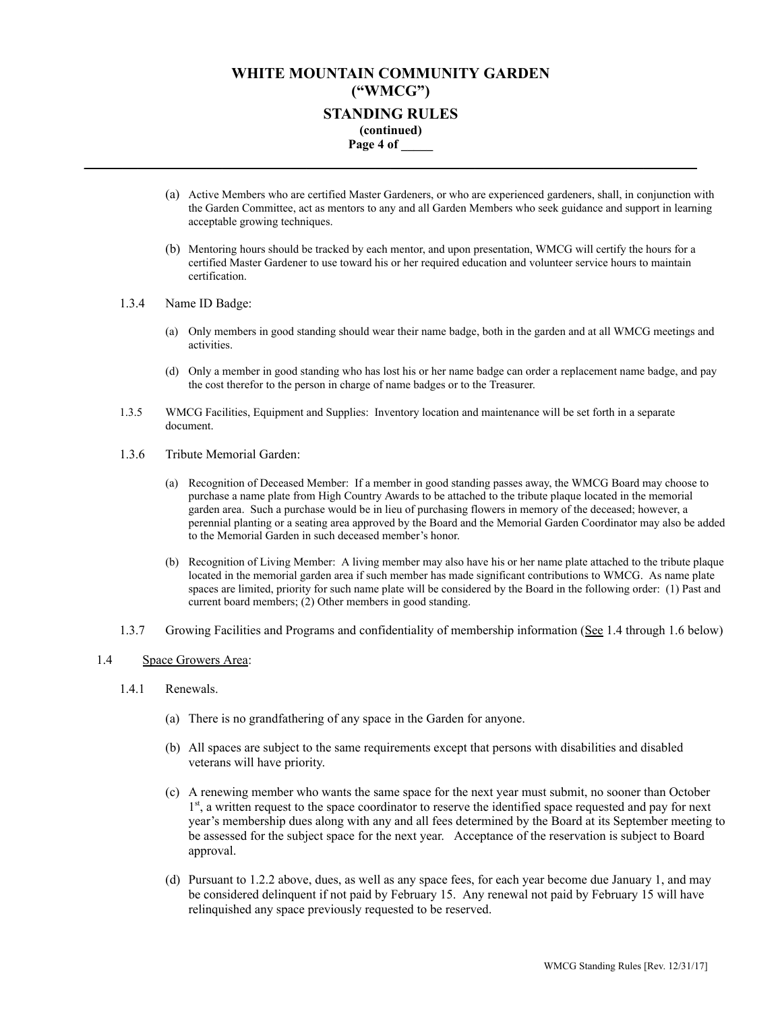## **WHITE MOUNTAIN COMMUNITY GARDEN ("WMCG") STANDING RULES (continued) Page 4 of \_\_\_\_\_ \_\_\_\_\_\_\_\_\_\_\_\_\_\_\_\_\_\_\_\_\_\_\_\_\_\_\_\_\_\_\_\_\_\_\_\_\_\_\_\_\_\_\_\_\_\_\_\_\_\_\_\_\_\_\_\_\_\_\_\_\_\_\_\_\_\_\_\_\_\_\_\_\_\_\_\_\_\_\_\_**

- (a) Active Members who are certified Master Gardeners, or who are experienced gardeners, shall, in conjunction with the Garden Committee, act as mentors to any and all Garden Members who seek guidance and support in learning acceptable growing techniques.
- (b) Mentoring hours should be tracked by each mentor, and upon presentation, WMCG will certify the hours for a certified Master Gardener to use toward his or her required education and volunteer service hours to maintain certification.
- 1.3.4 Name ID Badge:
	- (a) Only members in good standing should wear their name badge, both in the garden and at all WMCG meetings and activities.
	- (d) Only a member in good standing who has lost his or her name badge can order a replacement name badge, and pay the cost therefor to the person in charge of name badges or to the Treasurer.
- 1.3.5 WMCG Facilities, Equipment and Supplies: Inventory location and maintenance will be set forth in a separate document.
- 1.3.6 Tribute Memorial Garden:
	- (a) Recognition of Deceased Member: If a member in good standing passes away, the WMCG Board may choose to purchase a name plate from High Country Awards to be attached to the tribute plaque located in the memorial garden area. Such a purchase would be in lieu of purchasing flowers in memory of the deceased; however, a perennial planting or a seating area approved by the Board and the Memorial Garden Coordinator may also be added to the Memorial Garden in such deceased member's honor.
	- (b) Recognition of Living Member: A living member may also have his or her name plate attached to the tribute plaque located in the memorial garden area if such member has made significant contributions to WMCG. As name plate spaces are limited, priority for such name plate will be considered by the Board in the following order: (1) Past and current board members; (2) Other members in good standing.
- 1.3.7 Growing Facilities and Programs and confidentiality of membership information (See 1.4 through 1.6 below)

### 1.4 Space Growers Area:

- 1.4.1 Renewals.
	- (a) There is no grandfathering of any space in the Garden for anyone.
	- (b) All spaces are subject to the same requirements except that persons with disabilities and disabled veterans will have priority.
	- (c) A renewing member who wants the same space for the next year must submit, no sooner than October 1<sup>st</sup>, a written request to the space coordinator to reserve the identified space requested and pay for next year's membership dues along with any and all fees determined by the Board at its September meeting to be assessed for the subject space for the next year. Acceptance of the reservation is subject to Board approval.
	- (d) Pursuant to 1.2.2 above, dues, as well as any space fees, for each year become due January 1, and may be considered delinquent if not paid by February 15. Any renewal not paid by February 15 will have relinquished any space previously requested to be reserved.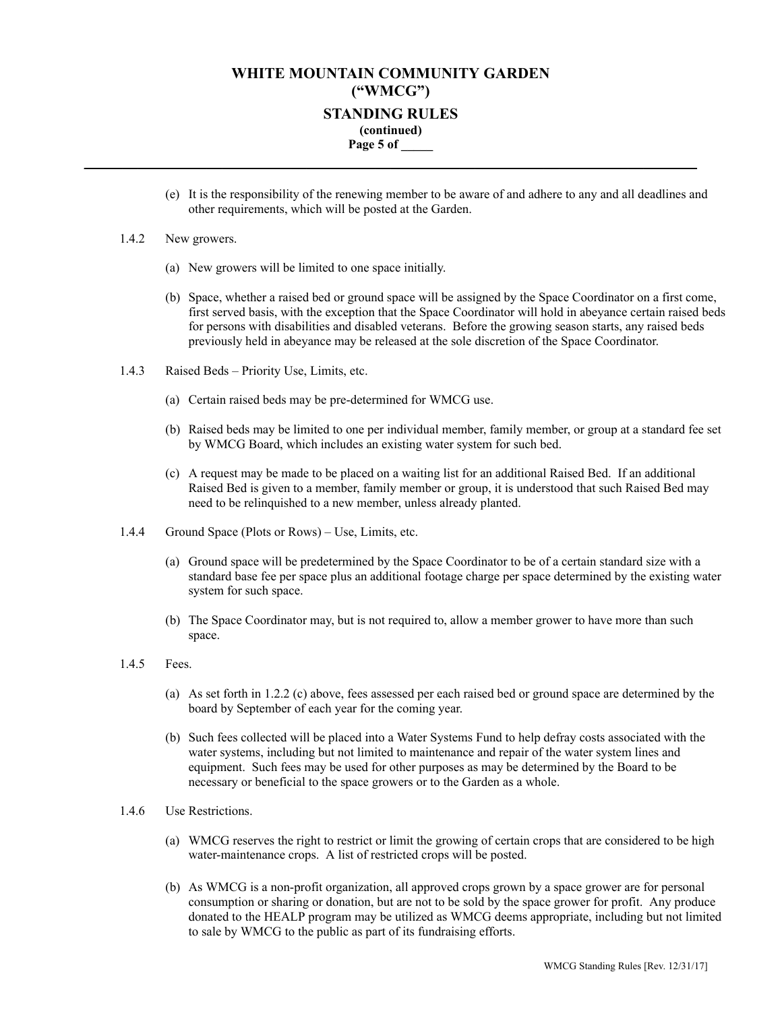## **WHITE MOUNTAIN COMMUNITY GARDEN ("WMCG") STANDING RULES (continued) Page 5 of \_\_\_\_\_ \_\_\_\_\_\_\_\_\_\_\_\_\_\_\_\_\_\_\_\_\_\_\_\_\_\_\_\_\_\_\_\_\_\_\_\_\_\_\_\_\_\_\_\_\_\_\_\_\_\_\_\_\_\_\_\_\_\_\_\_\_\_\_\_\_\_\_\_\_\_\_\_\_\_\_\_\_\_\_\_**

(e) It is the responsibility of the renewing member to be aware of and adhere to any and all deadlines and other requirements, which will be posted at the Garden.

#### 1.4.2 New growers.

- (a) New growers will be limited to one space initially.
- (b) Space, whether a raised bed or ground space will be assigned by the Space Coordinator on a first come, first served basis, with the exception that the Space Coordinator will hold in abeyance certain raised beds for persons with disabilities and disabled veterans. Before the growing season starts, any raised beds previously held in abeyance may be released at the sole discretion of the Space Coordinator.
- 1.4.3 Raised Beds Priority Use, Limits, etc.
	- (a) Certain raised beds may be pre-determined for WMCG use.
	- (b) Raised beds may be limited to one per individual member, family member, or group at a standard fee set by WMCG Board, which includes an existing water system for such bed.
	- (c) A request may be made to be placed on a waiting list for an additional Raised Bed. If an additional Raised Bed is given to a member, family member or group, it is understood that such Raised Bed may need to be relinquished to a new member, unless already planted.
- 1.4.4 Ground Space (Plots or Rows) Use, Limits, etc.
	- (a) Ground space will be predetermined by the Space Coordinator to be of a certain standard size with a standard base fee per space plus an additional footage charge per space determined by the existing water system for such space.
	- (b) The Space Coordinator may, but is not required to, allow a member grower to have more than such space.

### 1.4.5 Fees.

- (a) As set forth in 1.2.2 (c) above, fees assessed per each raised bed or ground space are determined by the board by September of each year for the coming year.
- (b) Such fees collected will be placed into a Water Systems Fund to help defray costs associated with the water systems, including but not limited to maintenance and repair of the water system lines and equipment. Such fees may be used for other purposes as may be determined by the Board to be necessary or beneficial to the space growers or to the Garden as a whole.
- 1.4.6 Use Restrictions.
	- (a) WMCG reserves the right to restrict or limit the growing of certain crops that are considered to be high water-maintenance crops. A list of restricted crops will be posted.
	- (b) As WMCG is a non-profit organization, all approved crops grown by a space grower are for personal consumption or sharing or donation, but are not to be sold by the space grower for profit. Any produce donated to the HEALP program may be utilized as WMCG deems appropriate, including but not limited to sale by WMCG to the public as part of its fundraising efforts.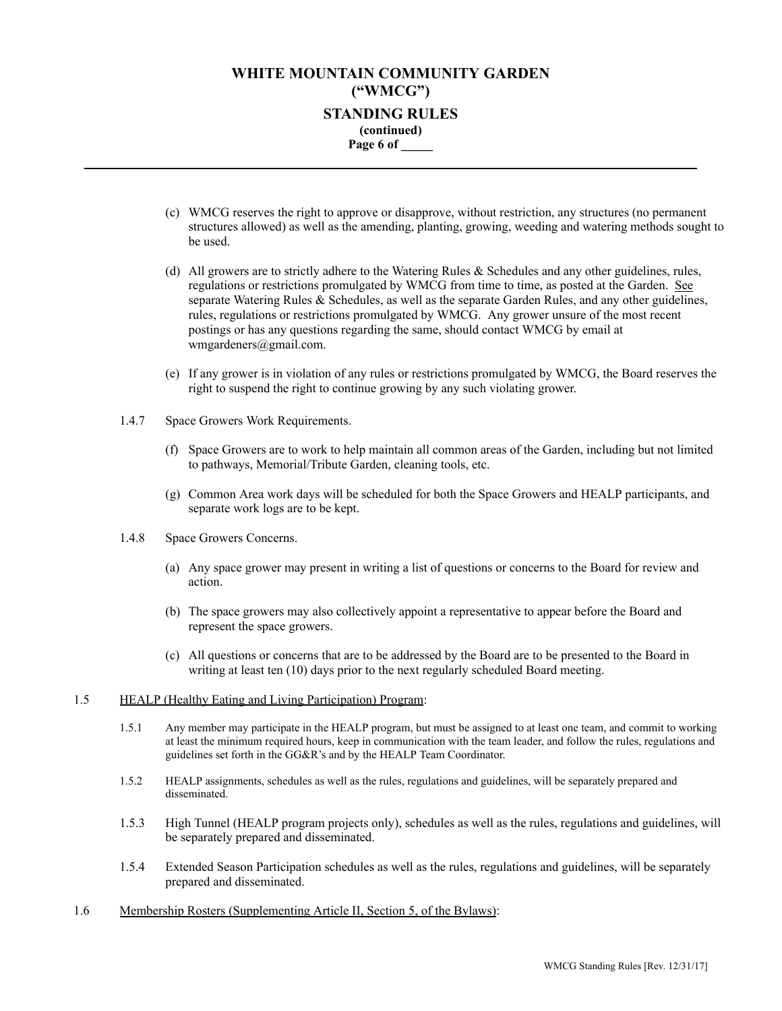## **WHITE MOUNTAIN COMMUNITY GARDEN ("WMCG") STANDING RULES (continued) Page 6 of \_\_\_\_\_ \_\_\_\_\_\_\_\_\_\_\_\_\_\_\_\_\_\_\_\_\_\_\_\_\_\_\_\_\_\_\_\_\_\_\_\_\_\_\_\_\_\_\_\_\_\_\_\_\_\_\_\_\_\_\_\_\_\_\_\_\_\_\_\_\_\_\_\_\_\_\_\_\_\_\_\_\_\_\_\_**

- (c) WMCG reserves the right to approve or disapprove, without restriction, any structures (no permanent structures allowed) as well as the amending, planting, growing, weeding and watering methods sought to be used.
- (d) All growers are to strictly adhere to the Watering Rules & Schedules and any other guidelines, rules, regulations or restrictions promulgated by WMCG from time to time, as posted at the Garden. See separate Watering Rules & Schedules, as well as the separate Garden Rules, and any other guidelines, rules, regulations or restrictions promulgated by WMCG. Any grower unsure of the most recent postings or has any questions regarding the same, should contact WMCG by email at wmgardeners@gmail.com.
- (e) If any grower is in violation of any rules or restrictions promulgated by WMCG, the Board reserves the right to suspend the right to continue growing by any such violating grower.
- 1.4.7 Space Growers Work Requirements.
	- (f) Space Growers are to work to help maintain all common areas of the Garden, including but not limited to pathways, Memorial/Tribute Garden, cleaning tools, etc.
	- (g) Common Area work days will be scheduled for both the Space Growers and HEALP participants, and separate work logs are to be kept.
- 1.4.8 Space Growers Concerns.
	- (a) Any space grower may present in writing a list of questions or concerns to the Board for review and action.
	- (b) The space growers may also collectively appoint a representative to appear before the Board and represent the space growers.
	- (c) All questions or concerns that are to be addressed by the Board are to be presented to the Board in writing at least ten (10) days prior to the next regularly scheduled Board meeting.
- 1.5 HEALP (Healthy Eating and Living Participation) Program:
	- 1.5.1 Any member may participate in the HEALP program, but must be assigned to at least one team, and commit to working at least the minimum required hours, keep in communication with the team leader, and follow the rules, regulations and guidelines set forth in the GG&R's and by the HEALP Team Coordinator.
	- 1.5.2 HEALP assignments, schedules as well as the rules, regulations and guidelines, will be separately prepared and disseminated.
	- 1.5.3 High Tunnel (HEALP program projects only), schedules as well as the rules, regulations and guidelines, will be separately prepared and disseminated.
	- 1.5.4 Extended Season Participation schedules as well as the rules, regulations and guidelines, will be separately prepared and disseminated.
- 1.6 Membership Rosters (Supplementing Article II, Section 5, of the Bylaws):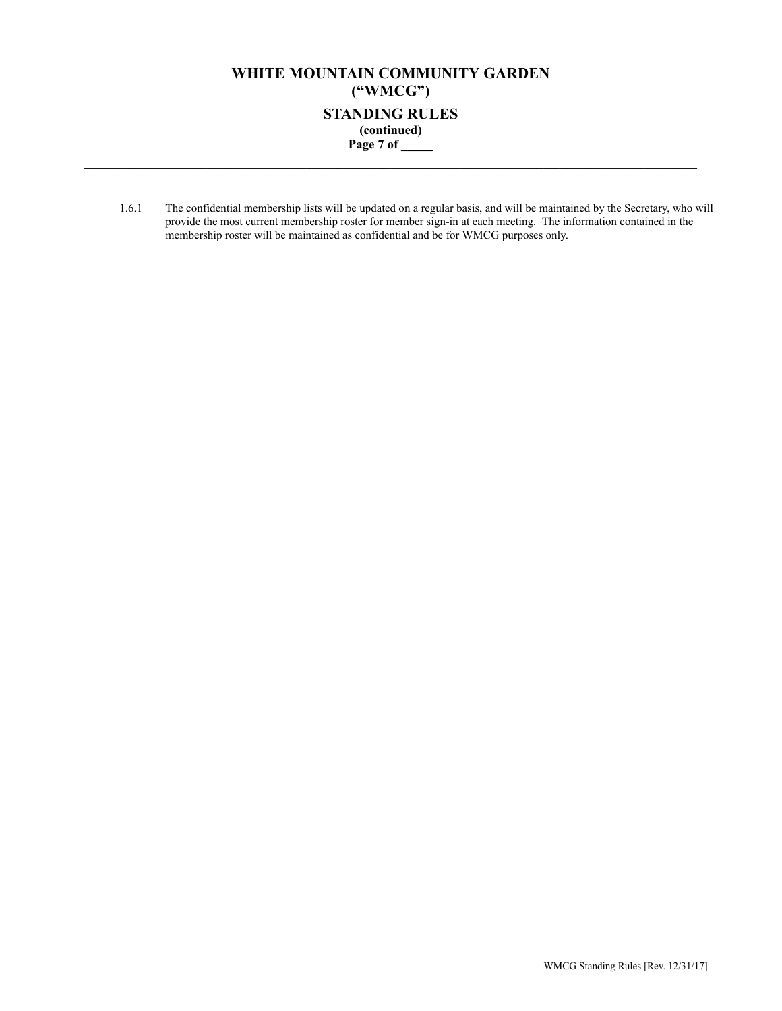# **WHITE MOUNTAIN COMMUNITY GARDEN ("WMCG") STANDING RULES (continued) Page 7 of \_\_\_\_\_ \_\_\_\_\_\_\_\_\_\_\_\_\_\_\_\_\_\_\_\_\_\_\_\_\_\_\_\_\_\_\_\_\_\_\_\_\_\_\_\_\_\_\_\_\_\_\_\_\_\_\_\_\_\_\_\_\_\_\_\_\_\_\_\_\_\_\_\_\_\_\_\_\_\_\_\_\_\_\_\_**

1.6.1 The confidential membership lists will be updated on a regular basis, and will be maintained by the Secretary, who will provide the most current membership roster for member sign-in at each meeting. The information contained in the membership roster will be maintained as confidential and be for WMCG purposes only.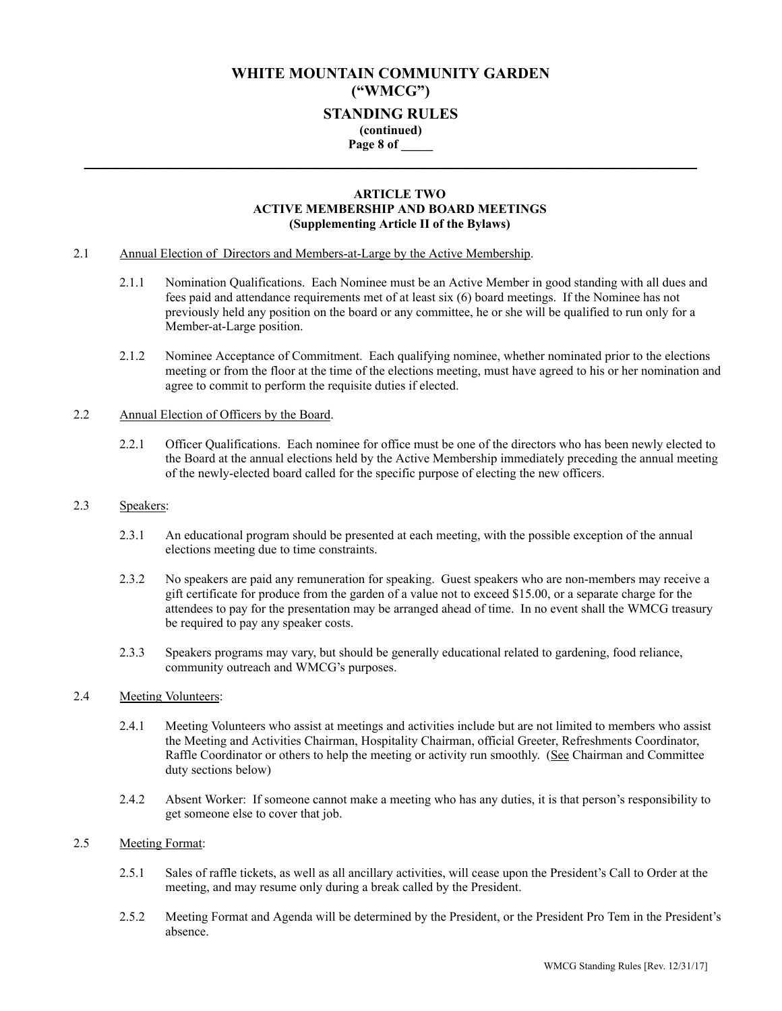## **WHITE MOUNTAIN COMMUNITY GARDEN ("WMCG") STANDING RULES (continued) Page 8 of \_\_\_\_\_**

**\_\_\_\_\_\_\_\_\_\_\_\_\_\_\_\_\_\_\_\_\_\_\_\_\_\_\_\_\_\_\_\_\_\_\_\_\_\_\_\_\_\_\_\_\_\_\_\_\_\_\_\_\_\_\_\_\_\_\_\_\_\_\_\_\_\_\_\_\_\_\_\_\_\_\_\_\_\_\_\_**

### **ARTICLE TWO ACTIVE MEMBERSHIP AND BOARD MEETINGS (Supplementing Article II of the Bylaws)**

- 2.1 Annual Election of Directors and Members-at-Large by the Active Membership.
	- 2.1.1 Nomination Qualifications. Each Nominee must be an Active Member in good standing with all dues and fees paid and attendance requirements met of at least six (6) board meetings. If the Nominee has not previously held any position on the board or any committee, he or she will be qualified to run only for a Member-at-Large position.
	- 2.1.2 Nominee Acceptance of Commitment. Each qualifying nominee, whether nominated prior to the elections meeting or from the floor at the time of the elections meeting, must have agreed to his or her nomination and agree to commit to perform the requisite duties if elected.

### 2.2 Annual Election of Officers by the Board.

2.2.1 Officer Qualifications. Each nominee for office must be one of the directors who has been newly elected to the Board at the annual elections held by the Active Membership immediately preceding the annual meeting of the newly-elected board called for the specific purpose of electing the new officers.

### 2.3 Speakers:

- 2.3.1 An educational program should be presented at each meeting, with the possible exception of the annual elections meeting due to time constraints.
- 2.3.2 No speakers are paid any remuneration for speaking. Guest speakers who are non-members may receive a gift certificate for produce from the garden of a value not to exceed \$15.00, or a separate charge for the attendees to pay for the presentation may be arranged ahead of time. In no event shall the WMCG treasury be required to pay any speaker costs.
- 2.3.3 Speakers programs may vary, but should be generally educational related to gardening, food reliance, community outreach and WMCG's purposes.

### 2.4 Meeting Volunteers:

- 2.4.1 Meeting Volunteers who assist at meetings and activities include but are not limited to members who assist the Meeting and Activities Chairman, Hospitality Chairman, official Greeter, Refreshments Coordinator, Raffle Coordinator or others to help the meeting or activity run smoothly. (See Chairman and Committee duty sections below)
- 2.4.2 Absent Worker: If someone cannot make a meeting who has any duties, it is that person's responsibility to get someone else to cover that job.

### 2.5 Meeting Format:

- 2.5.1 Sales of raffle tickets, as well as all ancillary activities, will cease upon the President's Call to Order at the meeting, and may resume only during a break called by the President.
- 2.5.2 Meeting Format and Agenda will be determined by the President, or the President Pro Tem in the President's absence.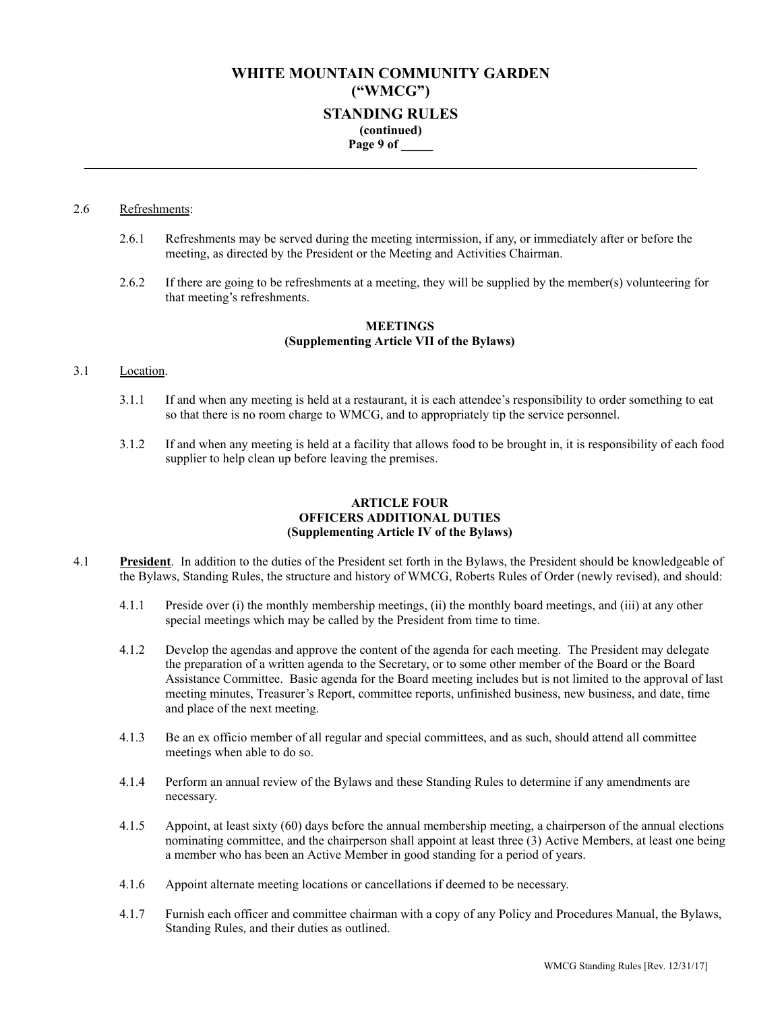# **WHITE MOUNTAIN COMMUNITY GARDEN ("WMCG") STANDING RULES (continued) Page 9 of \_\_\_\_\_**

**\_\_\_\_\_\_\_\_\_\_\_\_\_\_\_\_\_\_\_\_\_\_\_\_\_\_\_\_\_\_\_\_\_\_\_\_\_\_\_\_\_\_\_\_\_\_\_\_\_\_\_\_\_\_\_\_\_\_\_\_\_\_\_\_\_\_\_\_\_\_\_\_\_\_\_\_\_\_\_\_**

## 2.6 Refreshments:

- 2.6.1 Refreshments may be served during the meeting intermission, if any, or immediately after or before the meeting, as directed by the President or the Meeting and Activities Chairman.
- 2.6.2 If there are going to be refreshments at a meeting, they will be supplied by the member(s) volunteering for that meeting's refreshments.

### **MEETINGS (Supplementing Article VII of the Bylaws)**

### 3.1 Location.

- 3.1.1 If and when any meeting is held at a restaurant, it is each attendee's responsibility to order something to eat so that there is no room charge to WMCG, and to appropriately tip the service personnel.
- 3.1.2 If and when any meeting is held at a facility that allows food to be brought in, it is responsibility of each food supplier to help clean up before leaving the premises.

### **ARTICLE FOUR OFFICERS ADDITIONAL DUTIES (Supplementing Article IV of the Bylaws)**

- 4.1 **President**. In addition to the duties of the President set forth in the Bylaws, the President should be knowledgeable of the Bylaws, Standing Rules, the structure and history of WMCG, Roberts Rules of Order (newly revised), and should:
	- 4.1.1 Preside over (i) the monthly membership meetings, (ii) the monthly board meetings, and (iii) at any other special meetings which may be called by the President from time to time.
	- 4.1.2 Develop the agendas and approve the content of the agenda for each meeting. The President may delegate the preparation of a written agenda to the Secretary, or to some other member of the Board or the Board Assistance Committee. Basic agenda for the Board meeting includes but is not limited to the approval of last meeting minutes, Treasurer's Report, committee reports, unfinished business, new business, and date, time and place of the next meeting.
	- 4.1.3 Be an ex officio member of all regular and special committees, and as such, should attend all committee meetings when able to do so.
	- 4.1.4 Perform an annual review of the Bylaws and these Standing Rules to determine if any amendments are necessary.
	- 4.1.5 Appoint, at least sixty (60) days before the annual membership meeting, a chairperson of the annual elections nominating committee, and the chairperson shall appoint at least three (3) Active Members, at least one being a member who has been an Active Member in good standing for a period of years.
	- 4.1.6 Appoint alternate meeting locations or cancellations if deemed to be necessary.
	- 4.1.7 Furnish each officer and committee chairman with a copy of any Policy and Procedures Manual, the Bylaws, Standing Rules, and their duties as outlined.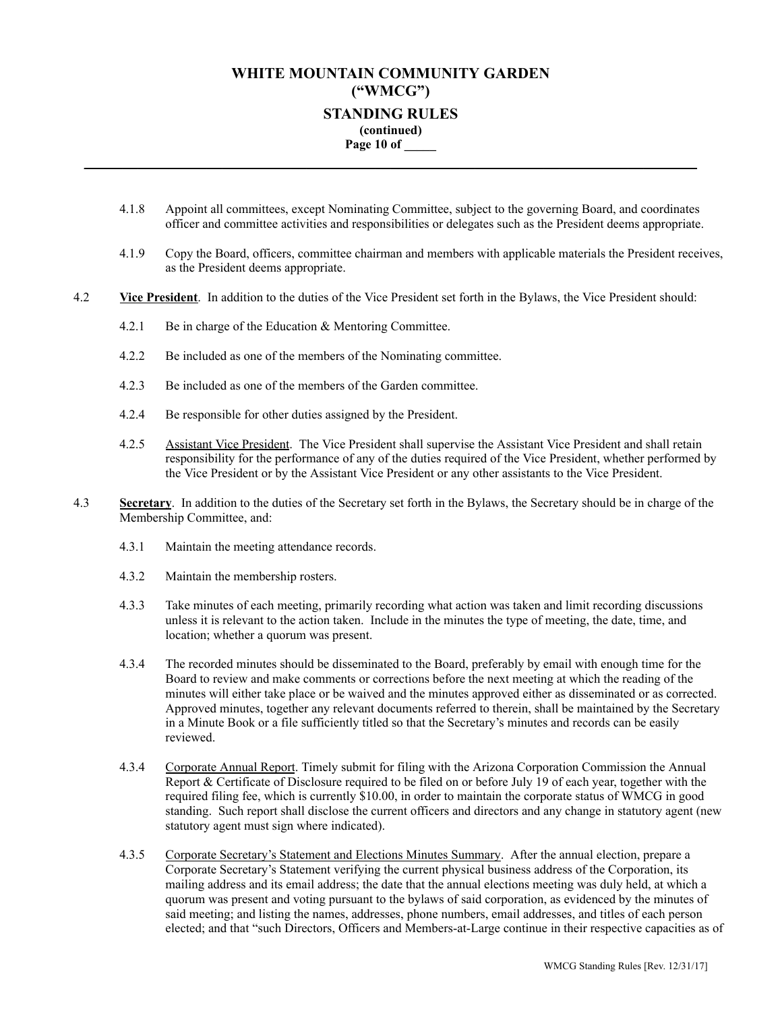# **WHITE MOUNTAIN COMMUNITY GARDEN ("WMCG") STANDING RULES (continued) Page 10 of \_\_\_\_\_**

**\_\_\_\_\_\_\_\_\_\_\_\_\_\_\_\_\_\_\_\_\_\_\_\_\_\_\_\_\_\_\_\_\_\_\_\_\_\_\_\_\_\_\_\_\_\_\_\_\_\_\_\_\_\_\_\_\_\_\_\_\_\_\_\_\_\_\_\_\_\_\_\_\_\_\_\_\_\_\_\_**

- 4.1.8 Appoint all committees, except Nominating Committee, subject to the governing Board, and coordinates officer and committee activities and responsibilities or delegates such as the President deems appropriate.
- 4.1.9 Copy the Board, officers, committee chairman and members with applicable materials the President receives, as the President deems appropriate.
- 4.2 **Vice President**. In addition to the duties of the Vice President set forth in the Bylaws, the Vice President should:
	- 4.2.1 Be in charge of the Education & Mentoring Committee.
	- 4.2.2 Be included as one of the members of the Nominating committee.
	- 4.2.3 Be included as one of the members of the Garden committee.
	- 4.2.4 Be responsible for other duties assigned by the President.
	- 4.2.5 Assistant Vice President. The Vice President shall supervise the Assistant Vice President and shall retain responsibility for the performance of any of the duties required of the Vice President, whether performed by the Vice President or by the Assistant Vice President or any other assistants to the Vice President.
- 4.3 **Secretary**. In addition to the duties of the Secretary set forth in the Bylaws, the Secretary should be in charge of the Membership Committee, and:
	- 4.3.1 Maintain the meeting attendance records.
	- 4.3.2 Maintain the membership rosters.
	- 4.3.3 Take minutes of each meeting, primarily recording what action was taken and limit recording discussions unless it is relevant to the action taken. Include in the minutes the type of meeting, the date, time, and location; whether a quorum was present.
	- 4.3.4 The recorded minutes should be disseminated to the Board, preferably by email with enough time for the Board to review and make comments or corrections before the next meeting at which the reading of the minutes will either take place or be waived and the minutes approved either as disseminated or as corrected. Approved minutes, together any relevant documents referred to therein, shall be maintained by the Secretary in a Minute Book or a file sufficiently titled so that the Secretary's minutes and records can be easily reviewed.
	- 4.3.4 Corporate Annual Report. Timely submit for filing with the Arizona Corporation Commission the Annual Report & Certificate of Disclosure required to be filed on or before July 19 of each year, together with the required filing fee, which is currently \$10.00, in order to maintain the corporate status of WMCG in good standing. Such report shall disclose the current officers and directors and any change in statutory agent (new statutory agent must sign where indicated).
	- 4.3.5 Corporate Secretary's Statement and Elections Minutes Summary. After the annual election, prepare a Corporate Secretary's Statement verifying the current physical business address of the Corporation, its mailing address and its email address; the date that the annual elections meeting was duly held, at which a quorum was present and voting pursuant to the bylaws of said corporation, as evidenced by the minutes of said meeting; and listing the names, addresses, phone numbers, email addresses, and titles of each person elected; and that "such Directors, Officers and Members-at-Large continue in their respective capacities as of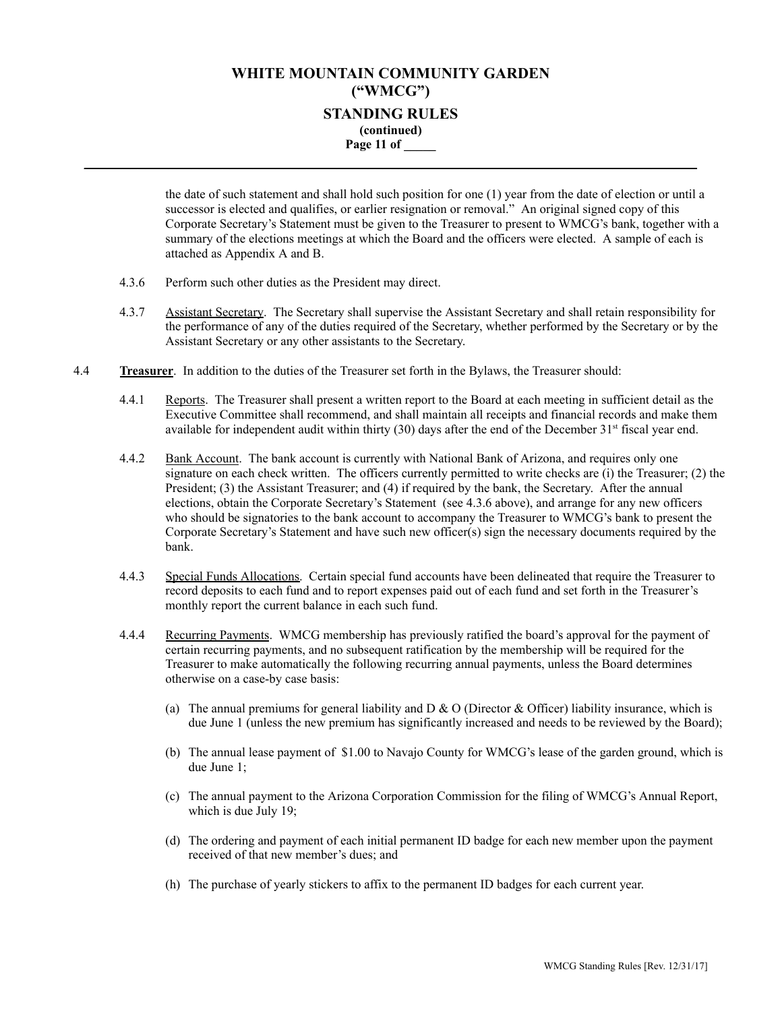# **WHITE MOUNTAIN COMMUNITY GARDEN ("WMCG") STANDING RULES (continued) Page 11 of \_\_\_\_\_**

**\_\_\_\_\_\_\_\_\_\_\_\_\_\_\_\_\_\_\_\_\_\_\_\_\_\_\_\_\_\_\_\_\_\_\_\_\_\_\_\_\_\_\_\_\_\_\_\_\_\_\_\_\_\_\_\_\_\_\_\_\_\_\_\_\_\_\_\_\_\_\_\_\_\_\_\_\_\_\_\_**

the date of such statement and shall hold such position for one (1) year from the date of election or until a successor is elected and qualifies, or earlier resignation or removal." An original signed copy of this Corporate Secretary's Statement must be given to the Treasurer to present to WMCG's bank, together with a summary of the elections meetings at which the Board and the officers were elected. A sample of each is attached as Appendix A and B.

- 4.3.6 Perform such other duties as the President may direct.
- 4.3.7 Assistant Secretary. The Secretary shall supervise the Assistant Secretary and shall retain responsibility for the performance of any of the duties required of the Secretary, whether performed by the Secretary or by the Assistant Secretary or any other assistants to the Secretary.
- 4.4 **Treasurer**. In addition to the duties of the Treasurer set forth in the Bylaws, the Treasurer should:
	- 4.4.1 Reports. The Treasurer shall present a written report to the Board at each meeting in sufficient detail as the Executive Committee shall recommend, and shall maintain all receipts and financial records and make them available for independent audit within thirty (30) days after the end of the December 31<sup>st</sup> fiscal year end.
	- 4.4.2 Bank Account. The bank account is currently with National Bank of Arizona, and requires only one signature on each check written. The officers currently permitted to write checks are (i) the Treasurer; (2) the President; (3) the Assistant Treasurer; and (4) if required by the bank, the Secretary. After the annual elections, obtain the Corporate Secretary's Statement (see 4.3.6 above), and arrange for any new officers who should be signatories to the bank account to accompany the Treasurer to WMCG's bank to present the Corporate Secretary's Statement and have such new officer(s) sign the necessary documents required by the bank.
	- 4.4.3 Special Funds Allocations. Certain special fund accounts have been delineated that require the Treasurer to record deposits to each fund and to report expenses paid out of each fund and set forth in the Treasurer's monthly report the current balance in each such fund.
	- 4.4.4 Recurring Payments. WMCG membership has previously ratified the board's approval for the payment of certain recurring payments, and no subsequent ratification by the membership will be required for the Treasurer to make automatically the following recurring annual payments, unless the Board determines otherwise on a case-by case basis:
		- (a) The annual premiums for general liability and  $D & O$  (Director & Officer) liability insurance, which is due June 1 (unless the new premium has significantly increased and needs to be reviewed by the Board);
		- (b) The annual lease payment of \$1.00 to Navajo County for WMCG's lease of the garden ground, which is due June 1;
		- (c) The annual payment to the Arizona Corporation Commission for the filing of WMCG's Annual Report, which is due July 19;
		- (d) The ordering and payment of each initial permanent ID badge for each new member upon the payment received of that new member's dues; and
		- (h) The purchase of yearly stickers to affix to the permanent ID badges for each current year.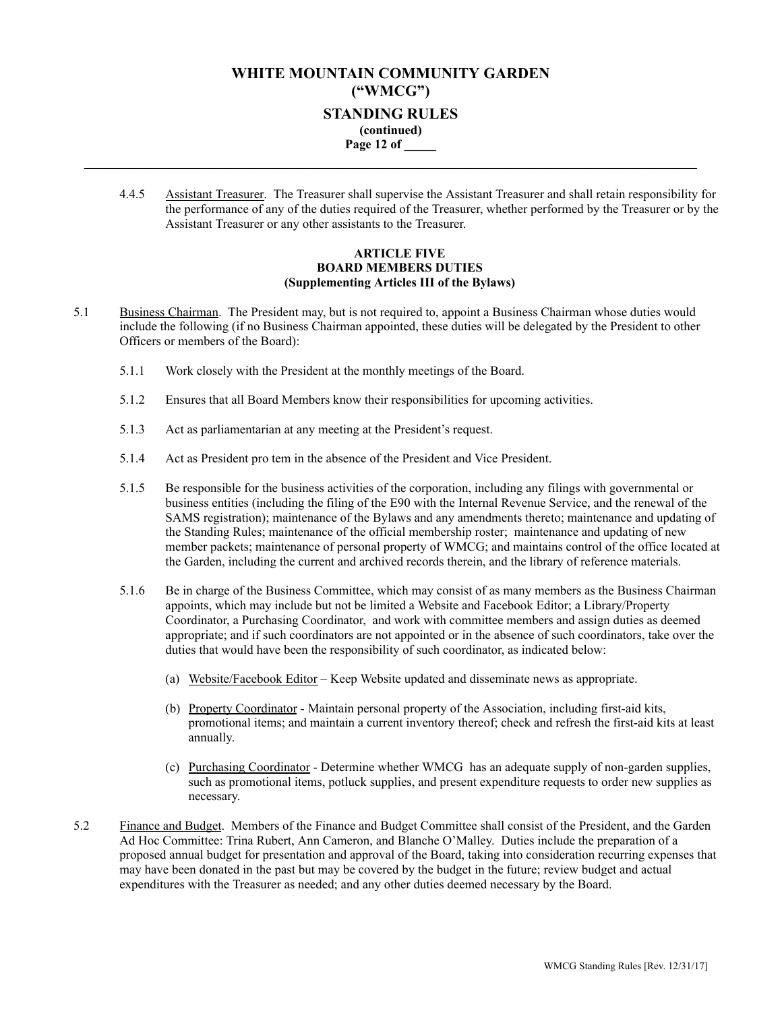## **WHITE MOUNTAIN COMMUNITY GARDEN ("WMCG") STANDING RULES (continued) Page 12 of \_\_\_\_\_ \_\_\_\_\_\_\_\_\_\_\_\_\_\_\_\_\_\_\_\_\_\_\_\_\_\_\_\_\_\_\_\_\_\_\_\_\_\_\_\_\_\_\_\_\_\_\_\_\_\_\_\_\_\_\_\_\_\_\_\_\_\_\_\_\_\_\_\_\_\_\_\_\_\_\_\_\_\_\_\_**

4.4.5 Assistant Treasurer. The Treasurer shall supervise the Assistant Treasurer and shall retain responsibility for the performance of any of the duties required of the Treasurer, whether performed by the Treasurer or by the Assistant Treasurer or any other assistants to the Treasurer.

### **ARTICLE FIVE BOARD MEMBERS DUTIES (Supplementing Articles III of the Bylaws)**

- 5.1 Business Chairman. The President may, but is not required to, appoint a Business Chairman whose duties would include the following (if no Business Chairman appointed, these duties will be delegated by the President to other Officers or members of the Board):
	- 5.1.1 Work closely with the President at the monthly meetings of the Board.
	- 5.1.2 Ensures that all Board Members know their responsibilities for upcoming activities.
	- 5.1.3 Act as parliamentarian at any meeting at the President's request.
	- 5.1.4 Act as President pro tem in the absence of the President and Vice President.
	- 5.1.5 Be responsible for the business activities of the corporation, including any filings with governmental or business entities (including the filing of the E90 with the Internal Revenue Service, and the renewal of the SAMS registration); maintenance of the Bylaws and any amendments thereto; maintenance and updating of the Standing Rules; maintenance of the official membership roster; maintenance and updating of new member packets; maintenance of personal property of WMCG; and maintains control of the office located at the Garden, including the current and archived records therein, and the library of reference materials.
	- 5.1.6 Be in charge of the Business Committee, which may consist of as many members as the Business Chairman appoints, which may include but not be limited a Website and Facebook Editor; a Library/Property Coordinator, a Purchasing Coordinator, and work with committee members and assign duties as deemed appropriate; and if such coordinators are not appointed or in the absence of such coordinators, take over the duties that would have been the responsibility of such coordinator, as indicated below:
		- (a) Website/Facebook Editor Keep Website updated and disseminate news as appropriate.
		- (b) Property Coordinator Maintain personal property of the Association, including first-aid kits, promotional items; and maintain a current inventory thereof; check and refresh the first-aid kits at least annually.
		- (c) Purchasing Coordinator Determine whether WMCG has an adequate supply of non-garden supplies, such as promotional items, potluck supplies, and present expenditure requests to order new supplies as necessary.
- 5.2 Finance and Budget. Members of the Finance and Budget Committee shall consist of the President, and the Garden Ad Hoc Committee: Trina Rubert, Ann Cameron, and Blanche O'Malley. Duties include the preparation of a proposed annual budget for presentation and approval of the Board, taking into consideration recurring expenses that may have been donated in the past but may be covered by the budget in the future; review budget and actual expenditures with the Treasurer as needed; and any other duties deemed necessary by the Board.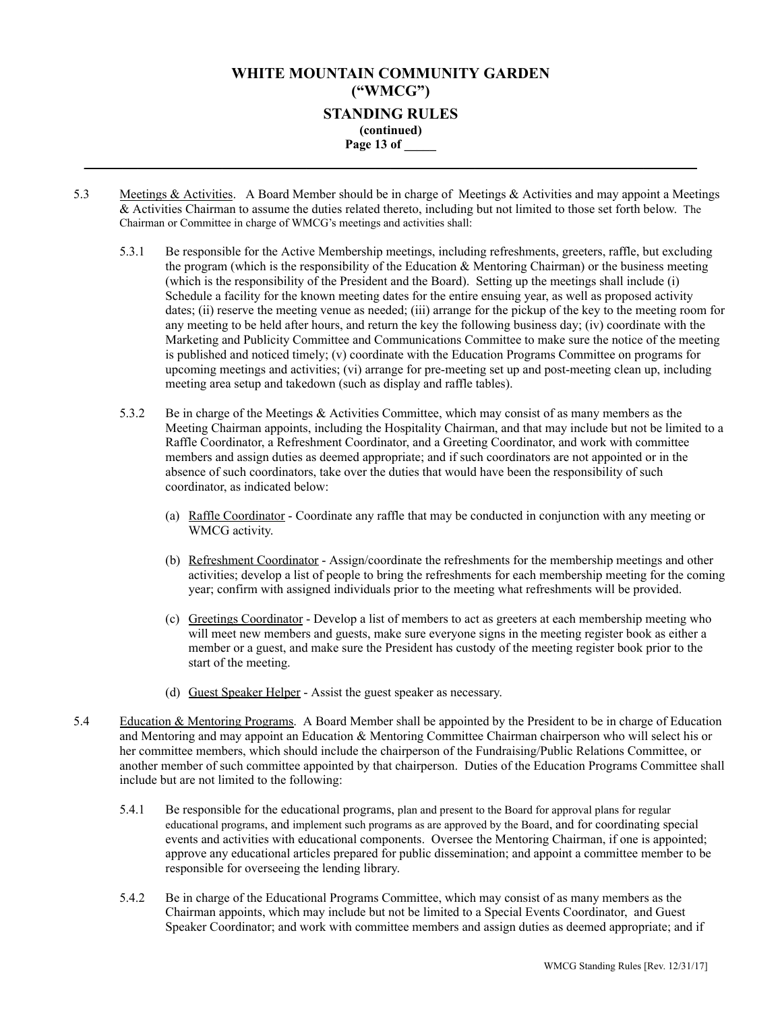## **WHITE MOUNTAIN COMMUNITY GARDEN ("WMCG") STANDING RULES (continued) Page 13 of \_\_\_\_\_ \_\_\_\_\_\_\_\_\_\_\_\_\_\_\_\_\_\_\_\_\_\_\_\_\_\_\_\_\_\_\_\_\_\_\_\_\_\_\_\_\_\_\_\_\_\_\_\_\_\_\_\_\_\_\_\_\_\_\_\_\_\_\_\_\_\_\_\_\_\_\_\_\_\_\_\_\_\_\_\_**

- 5.3 Meetings & Activities. A Board Member should be in charge of Meetings & Activities and may appoint a Meetings & Activities Chairman to assume the duties related thereto, including but not limited to those set forth below. The Chairman or Committee in charge of WMCG's meetings and activities shall:
	- 5.3.1 Be responsible for the Active Membership meetings, including refreshments, greeters, raffle, but excluding the program (which is the responsibility of the Education  $\&$  Mentoring Chairman) or the business meeting (which is the responsibility of the President and the Board). Setting up the meetings shall include (i) Schedule a facility for the known meeting dates for the entire ensuing year, as well as proposed activity dates; (ii) reserve the meeting venue as needed; (iii) arrange for the pickup of the key to the meeting room for any meeting to be held after hours, and return the key the following business day; (iv) coordinate with the Marketing and Publicity Committee and Communications Committee to make sure the notice of the meeting is published and noticed timely; (v) coordinate with the Education Programs Committee on programs for upcoming meetings and activities; (vi) arrange for pre-meeting set up and post-meeting clean up, including meeting area setup and takedown (such as display and raffle tables).
	- 5.3.2 Be in charge of the Meetings & Activities Committee, which may consist of as many members as the Meeting Chairman appoints, including the Hospitality Chairman, and that may include but not be limited to a Raffle Coordinator, a Refreshment Coordinator, and a Greeting Coordinator, and work with committee members and assign duties as deemed appropriate; and if such coordinators are not appointed or in the absence of such coordinators, take over the duties that would have been the responsibility of such coordinator, as indicated below:
		- (a) Raffle Coordinator Coordinate any raffle that may be conducted in conjunction with any meeting or WMCG activity.
		- (b) Refreshment Coordinator Assign/coordinate the refreshments for the membership meetings and other activities; develop a list of people to bring the refreshments for each membership meeting for the coming year; confirm with assigned individuals prior to the meeting what refreshments will be provided.
		- (c) Greetings Coordinator Develop a list of members to act as greeters at each membership meeting who will meet new members and guests, make sure everyone signs in the meeting register book as either a member or a guest, and make sure the President has custody of the meeting register book prior to the start of the meeting.
		- (d) Guest Speaker Helper Assist the guest speaker as necessary.
- 5.4 Education & Mentoring Programs. A Board Member shall be appointed by the President to be in charge of Education and Mentoring and may appoint an Education & Mentoring Committee Chairman chairperson who will select his or her committee members, which should include the chairperson of the Fundraising/Public Relations Committee, or another member of such committee appointed by that chairperson. Duties of the Education Programs Committee shall include but are not limited to the following:
	- 5.4.1 Be responsible for the educational programs, plan and present to the Board for approval plans for regular educational programs, and implement such programs as are approved by the Board, and for coordinating special events and activities with educational components. Oversee the Mentoring Chairman, if one is appointed; approve any educational articles prepared for public dissemination; and appoint a committee member to be responsible for overseeing the lending library.
	- 5.4.2 Be in charge of the Educational Programs Committee, which may consist of as many members as the Chairman appoints, which may include but not be limited to a Special Events Coordinator, and Guest Speaker Coordinator; and work with committee members and assign duties as deemed appropriate; and if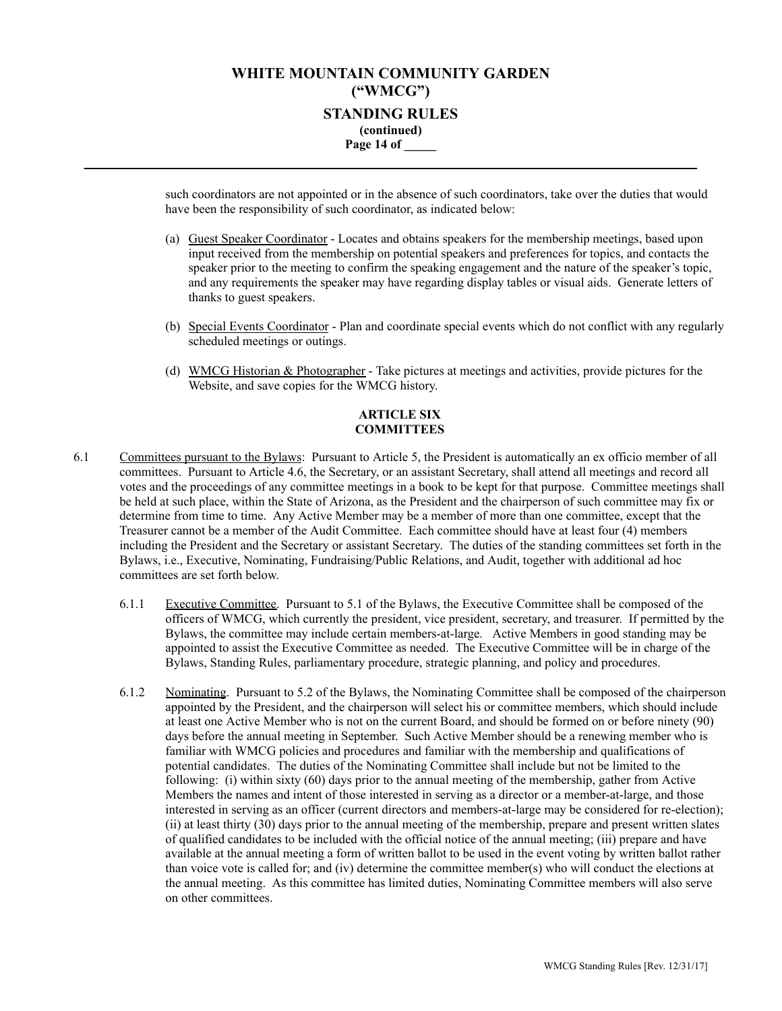## **WHITE MOUNTAIN COMMUNITY GARDEN ("WMCG") STANDING RULES (continued) Page 14 of \_\_\_\_\_ \_\_\_\_\_\_\_\_\_\_\_\_\_\_\_\_\_\_\_\_\_\_\_\_\_\_\_\_\_\_\_\_\_\_\_\_\_\_\_\_\_\_\_\_\_\_\_\_\_\_\_\_\_\_\_\_\_\_\_\_\_\_\_\_\_\_\_\_\_\_\_\_\_\_\_\_\_\_\_\_**

such coordinators are not appointed or in the absence of such coordinators, take over the duties that would have been the responsibility of such coordinator, as indicated below:

- (a) Guest Speaker Coordinator Locates and obtains speakers for the membership meetings, based upon input received from the membership on potential speakers and preferences for topics, and contacts the speaker prior to the meeting to confirm the speaking engagement and the nature of the speaker's topic, and any requirements the speaker may have regarding display tables or visual aids. Generate letters of thanks to guest speakers.
- (b) Special Events Coordinator Plan and coordinate special events which do not conflict with any regularly scheduled meetings or outings.
- (d) WMCG Historian & Photographer Take pictures at meetings and activities, provide pictures for the Website, and save copies for the WMCG history.

### **ARTICLE SIX COMMITTEES**

- 6.1 Committees pursuant to the Bylaws: Pursuant to Article 5, the President is automatically an ex officio member of all committees. Pursuant to Article 4.6, the Secretary, or an assistant Secretary, shall attend all meetings and record all votes and the proceedings of any committee meetings in a book to be kept for that purpose. Committee meetings shall be held at such place, within the State of Arizona, as the President and the chairperson of such committee may fix or determine from time to time. Any Active Member may be a member of more than one committee, except that the Treasurer cannot be a member of the Audit Committee. Each committee should have at least four (4) members including the President and the Secretary or assistant Secretary. The duties of the standing committees set forth in the Bylaws, i.e., Executive, Nominating, Fundraising/Public Relations, and Audit, together with additional ad hoc committees are set forth below.
	- 6.1.1 Executive Committee. Pursuant to 5.1 of the Bylaws, the Executive Committee shall be composed of the officers of WMCG, which currently the president, vice president, secretary, and treasurer. If permitted by the Bylaws, the committee may include certain members-at-large. Active Members in good standing may be appointed to assist the Executive Committee as needed. The Executive Committee will be in charge of the Bylaws, Standing Rules, parliamentary procedure, strategic planning, and policy and procedures.
	- 6.1.2 Nominating. Pursuant to 5.2 of the Bylaws, the Nominating Committee shall be composed of the chairperson appointed by the President, and the chairperson will select his or committee members, which should include at least one Active Member who is not on the current Board, and should be formed on or before ninety (90) days before the annual meeting in September. Such Active Member should be a renewing member who is familiar with WMCG policies and procedures and familiar with the membership and qualifications of potential candidates. The duties of the Nominating Committee shall include but not be limited to the following: (i) within sixty (60) days prior to the annual meeting of the membership, gather from Active Members the names and intent of those interested in serving as a director or a member-at-large, and those interested in serving as an officer (current directors and members-at-large may be considered for re-election); (ii) at least thirty (30) days prior to the annual meeting of the membership, prepare and present written slates of qualified candidates to be included with the official notice of the annual meeting; (iii) prepare and have available at the annual meeting a form of written ballot to be used in the event voting by written ballot rather than voice vote is called for; and (iv) determine the committee member(s) who will conduct the elections at the annual meeting. As this committee has limited duties, Nominating Committee members will also serve on other committees.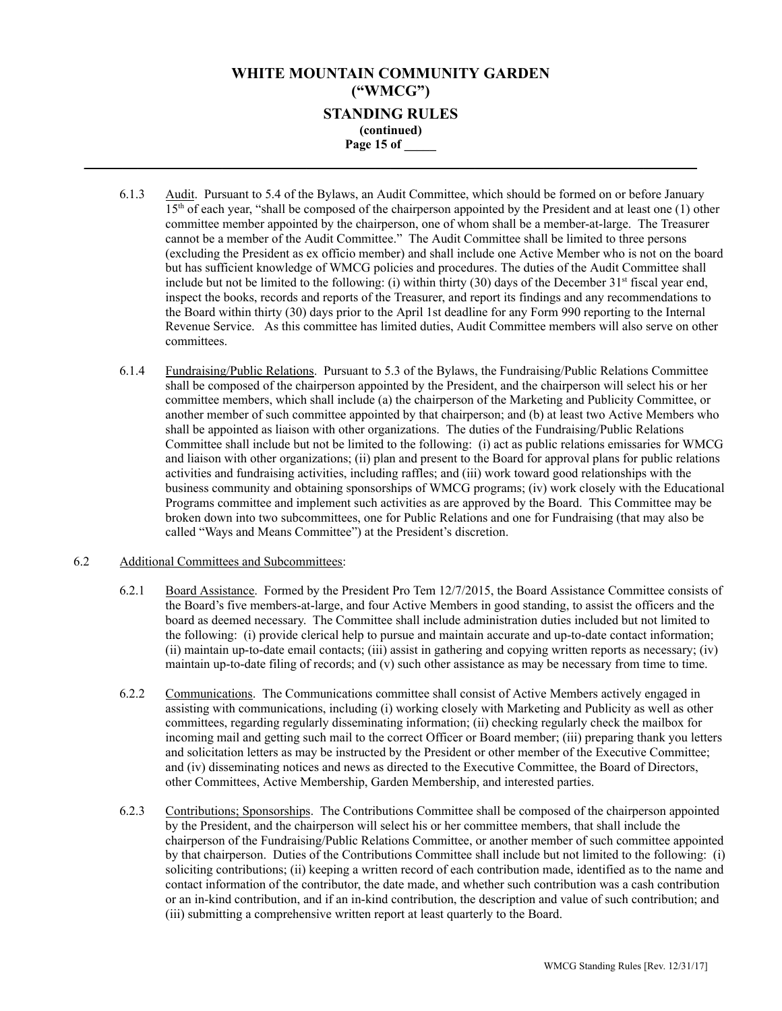## **WHITE MOUNTAIN COMMUNITY GARDEN ("WMCG") STANDING RULES (continued) Page 15 of \_\_\_\_\_ \_\_\_\_\_\_\_\_\_\_\_\_\_\_\_\_\_\_\_\_\_\_\_\_\_\_\_\_\_\_\_\_\_\_\_\_\_\_\_\_\_\_\_\_\_\_\_\_\_\_\_\_\_\_\_\_\_\_\_\_\_\_\_\_\_\_\_\_\_\_\_\_\_\_\_\_\_\_\_\_**

- 6.1.3 Audit. Pursuant to 5.4 of the Bylaws, an Audit Committee, which should be formed on or before January 15<sup>th</sup> of each year, "shall be composed of the chairperson appointed by the President and at least one (1) other committee member appointed by the chairperson, one of whom shall be a member-at-large. The Treasurer cannot be a member of the Audit Committee." The Audit Committee shall be limited to three persons (excluding the President as ex officio member) and shall include one Active Member who is not on the board but has sufficient knowledge of WMCG policies and procedures. The duties of the Audit Committee shall include but not be limited to the following: (i) within thirty  $(30)$  days of the December  $31<sup>st</sup>$  fiscal year end, inspect the books, records and reports of the Treasurer, and report its findings and any recommendations to the Board within thirty (30) days prior to the April 1st deadline for any Form 990 reporting to the Internal Revenue Service. As this committee has limited duties, Audit Committee members will also serve on other committees.
- 6.1.4 Fundraising/Public Relations. Pursuant to 5.3 of the Bylaws, the Fundraising/Public Relations Committee shall be composed of the chairperson appointed by the President, and the chairperson will select his or her committee members, which shall include (a) the chairperson of the Marketing and Publicity Committee, or another member of such committee appointed by that chairperson; and (b) at least two Active Members who shall be appointed as liaison with other organizations. The duties of the Fundraising/Public Relations Committee shall include but not be limited to the following: (i) act as public relations emissaries for WMCG and liaison with other organizations; (ii) plan and present to the Board for approval plans for public relations activities and fundraising activities, including raffles; and (iii) work toward good relationships with the business community and obtaining sponsorships of WMCG programs; (iv) work closely with the Educational Programs committee and implement such activities as are approved by the Board. This Committee may be broken down into two subcommittees, one for Public Relations and one for Fundraising (that may also be called "Ways and Means Committee") at the President's discretion.
- 6.2 Additional Committees and Subcommittees:
	- 6.2.1 Board Assistance. Formed by the President Pro Tem 12/7/2015, the Board Assistance Committee consists of the Board's five members-at-large, and four Active Members in good standing, to assist the officers and the board as deemed necessary. The Committee shall include administration duties included but not limited to the following: (i) provide clerical help to pursue and maintain accurate and up-to-date contact information; (ii) maintain up-to-date email contacts; (iii) assist in gathering and copying written reports as necessary; (iv) maintain up-to-date filing of records; and (v) such other assistance as may be necessary from time to time.
	- 6.2.2 Communications. The Communications committee shall consist of Active Members actively engaged in assisting with communications, including (i) working closely with Marketing and Publicity as well as other committees, regarding regularly disseminating information; (ii) checking regularly check the mailbox for incoming mail and getting such mail to the correct Officer or Board member; (iii) preparing thank you letters and solicitation letters as may be instructed by the President or other member of the Executive Committee; and (iv) disseminating notices and news as directed to the Executive Committee, the Board of Directors, other Committees, Active Membership, Garden Membership, and interested parties.
	- 6.2.3 Contributions; Sponsorships. The Contributions Committee shall be composed of the chairperson appointed by the President, and the chairperson will select his or her committee members, that shall include the chairperson of the Fundraising/Public Relations Committee, or another member of such committee appointed by that chairperson. Duties of the Contributions Committee shall include but not limited to the following: (i) soliciting contributions; (ii) keeping a written record of each contribution made, identified as to the name and contact information of the contributor, the date made, and whether such contribution was a cash contribution or an in-kind contribution, and if an in-kind contribution, the description and value of such contribution; and (iii) submitting a comprehensive written report at least quarterly to the Board.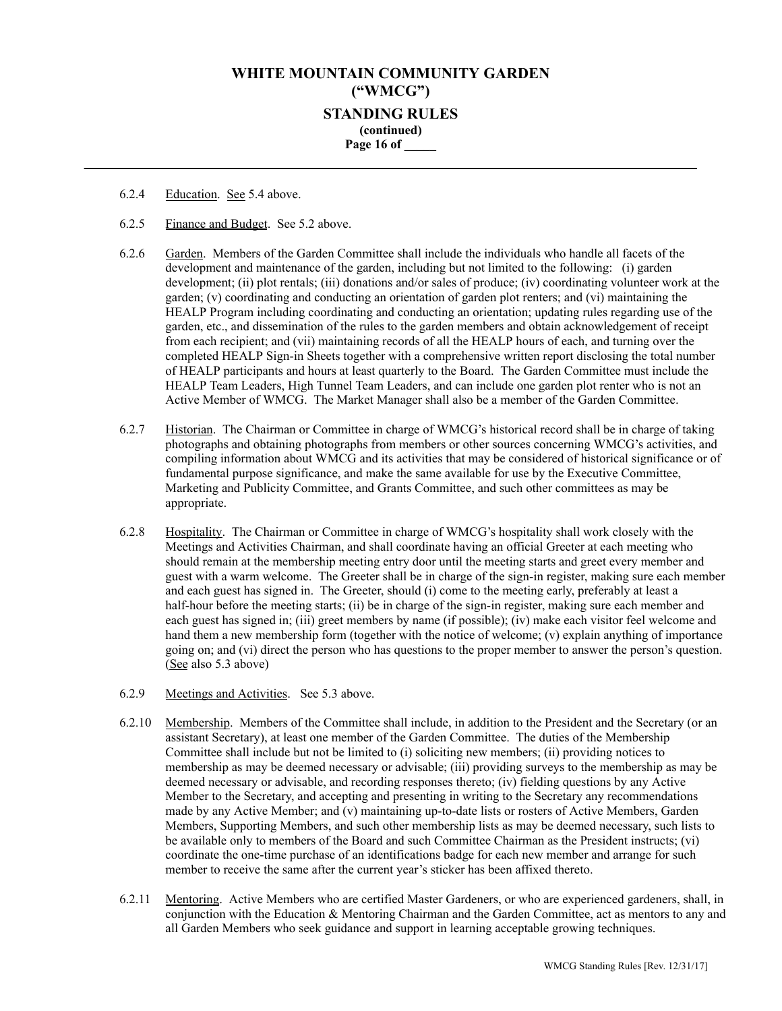## **WHITE MOUNTAIN COMMUNITY GARDEN ("WMCG") STANDING RULES (continued) Page 16 of \_\_\_\_\_ \_\_\_\_\_\_\_\_\_\_\_\_\_\_\_\_\_\_\_\_\_\_\_\_\_\_\_\_\_\_\_\_\_\_\_\_\_\_\_\_\_\_\_\_\_\_\_\_\_\_\_\_\_\_\_\_\_\_\_\_\_\_\_\_\_\_\_\_\_\_\_\_\_\_\_\_\_\_\_\_**

- 6.2.4 Education. See 5.4 above.
- 6.2.5 Finance and Budget. See 5.2 above.
- 6.2.6 Garden. Members of the Garden Committee shall include the individuals who handle all facets of the development and maintenance of the garden, including but not limited to the following: (i) garden development; (ii) plot rentals; (iii) donations and/or sales of produce; (iv) coordinating volunteer work at the garden; (v) coordinating and conducting an orientation of garden plot renters; and (vi) maintaining the HEALP Program including coordinating and conducting an orientation; updating rules regarding use of the garden, etc., and dissemination of the rules to the garden members and obtain acknowledgement of receipt from each recipient; and (vii) maintaining records of all the HEALP hours of each, and turning over the completed HEALP Sign-in Sheets together with a comprehensive written report disclosing the total number of HEALP participants and hours at least quarterly to the Board. The Garden Committee must include the HEALP Team Leaders, High Tunnel Team Leaders, and can include one garden plot renter who is not an Active Member of WMCG. The Market Manager shall also be a member of the Garden Committee.
- 6.2.7 Historian. The Chairman or Committee in charge of WMCG's historical record shall be in charge of taking photographs and obtaining photographs from members or other sources concerning WMCG's activities, and compiling information about WMCG and its activities that may be considered of historical significance or of fundamental purpose significance, and make the same available for use by the Executive Committee, Marketing and Publicity Committee, and Grants Committee, and such other committees as may be appropriate.
- 6.2.8 Hospitality. The Chairman or Committee in charge of WMCG's hospitality shall work closely with the Meetings and Activities Chairman, and shall coordinate having an official Greeter at each meeting who should remain at the membership meeting entry door until the meeting starts and greet every member and guest with a warm welcome. The Greeter shall be in charge of the sign-in register, making sure each member and each guest has signed in. The Greeter, should (i) come to the meeting early, preferably at least a half-hour before the meeting starts; (ii) be in charge of the sign-in register, making sure each member and each guest has signed in; (iii) greet members by name (if possible); (iv) make each visitor feel welcome and hand them a new membership form (together with the notice of welcome; (v) explain anything of importance going on; and (vi) direct the person who has questions to the proper member to answer the person's question. (See also 5.3 above)
- 6.2.9 Meetings and Activities. See 5.3 above.
- 6.2.10 Membership. Members of the Committee shall include, in addition to the President and the Secretary (or an assistant Secretary), at least one member of the Garden Committee. The duties of the Membership Committee shall include but not be limited to (i) soliciting new members; (ii) providing notices to membership as may be deemed necessary or advisable; (iii) providing surveys to the membership as may be deemed necessary or advisable, and recording responses thereto; (iv) fielding questions by any Active Member to the Secretary, and accepting and presenting in writing to the Secretary any recommendations made by any Active Member; and (v) maintaining up-to-date lists or rosters of Active Members, Garden Members, Supporting Members, and such other membership lists as may be deemed necessary, such lists to be available only to members of the Board and such Committee Chairman as the President instructs; (vi) coordinate the one-time purchase of an identifications badge for each new member and arrange for such member to receive the same after the current year's sticker has been affixed thereto.
- 6.2.11 Mentoring. Active Members who are certified Master Gardeners, or who are experienced gardeners, shall, in conjunction with the Education & Mentoring Chairman and the Garden Committee, act as mentors to any and all Garden Members who seek guidance and support in learning acceptable growing techniques.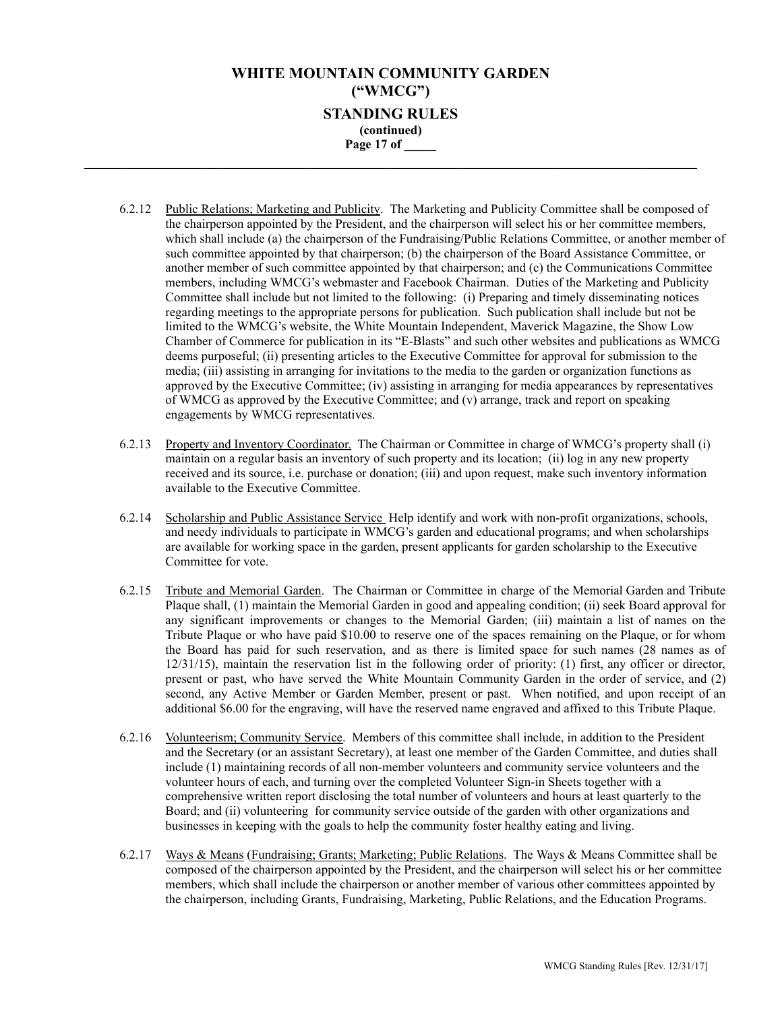## **WHITE MOUNTAIN COMMUNITY GARDEN ("WMCG") STANDING RULES (continued) Page 17 of \_\_\_\_\_ \_\_\_\_\_\_\_\_\_\_\_\_\_\_\_\_\_\_\_\_\_\_\_\_\_\_\_\_\_\_\_\_\_\_\_\_\_\_\_\_\_\_\_\_\_\_\_\_\_\_\_\_\_\_\_\_\_\_\_\_\_\_\_\_\_\_\_\_\_\_\_\_\_\_\_\_\_\_\_\_**

- 6.2.12 Public Relations; Marketing and Publicity. The Marketing and Publicity Committee shall be composed of the chairperson appointed by the President, and the chairperson will select his or her committee members, which shall include (a) the chairperson of the Fundraising/Public Relations Committee, or another member of such committee appointed by that chairperson; (b) the chairperson of the Board Assistance Committee, or another member of such committee appointed by that chairperson; and (c) the Communications Committee members, including WMCG's webmaster and Facebook Chairman. Duties of the Marketing and Publicity Committee shall include but not limited to the following: (i) Preparing and timely disseminating notices regarding meetings to the appropriate persons for publication. Such publication shall include but not be limited to the WMCG's website, the White Mountain Independent, Maverick Magazine, the Show Low Chamber of Commerce for publication in its "E-Blasts" and such other websites and publications as WMCG deems purposeful; (ii) presenting articles to the Executive Committee for approval for submission to the media; (iii) assisting in arranging for invitations to the media to the garden or organization functions as approved by the Executive Committee; (iv) assisting in arranging for media appearances by representatives of WMCG as approved by the Executive Committee; and (v) arrange, track and report on speaking engagements by WMCG representatives.
- 6.2.13 Property and Inventory Coordinator. The Chairman or Committee in charge of WMCG's property shall (i) maintain on a regular basis an inventory of such property and its location; (ii) log in any new property received and its source, i.e. purchase or donation; (iii) and upon request, make such inventory information available to the Executive Committee.
- 6.2.14 Scholarship and Public Assistance Service Help identify and work with non-profit organizations, schools, and needy individuals to participate in WMCG's garden and educational programs; and when scholarships are available for working space in the garden, present applicants for garden scholarship to the Executive Committee for vote.
- 6.2.15 Tribute and Memorial Garden. The Chairman or Committee in charge of the Memorial Garden and Tribute Plaque shall, (1) maintain the Memorial Garden in good and appealing condition; (ii) seek Board approval for any significant improvements or changes to the Memorial Garden; (iii) maintain a list of names on the Tribute Plaque or who have paid \$10.00 to reserve one of the spaces remaining on the Plaque, or for whom the Board has paid for such reservation, and as there is limited space for such names (28 names as of 12/31/15), maintain the reservation list in the following order of priority: (1) first, any officer or director, present or past, who have served the White Mountain Community Garden in the order of service, and (2) second, any Active Member or Garden Member, present or past. When notified, and upon receipt of an additional \$6.00 for the engraving, will have the reserved name engraved and affixed to this Tribute Plaque.
- 6.2.16 Volunteerism; Community Service. Members of this committee shall include, in addition to the President and the Secretary (or an assistant Secretary), at least one member of the Garden Committee, and duties shall include (1) maintaining records of all non-member volunteers and community service volunteers and the volunteer hours of each, and turning over the completed Volunteer Sign-in Sheets together with a comprehensive written report disclosing the total number of volunteers and hours at least quarterly to the Board; and (ii) volunteering for community service outside of the garden with other organizations and businesses in keeping with the goals to help the community foster healthy eating and living.
- 6.2.17 Ways & Means (Fundraising; Grants; Marketing; Public Relations. The Ways & Means Committee shall be composed of the chairperson appointed by the President, and the chairperson will select his or her committee members, which shall include the chairperson or another member of various other committees appointed by the chairperson, including Grants, Fundraising, Marketing, Public Relations, and the Education Programs.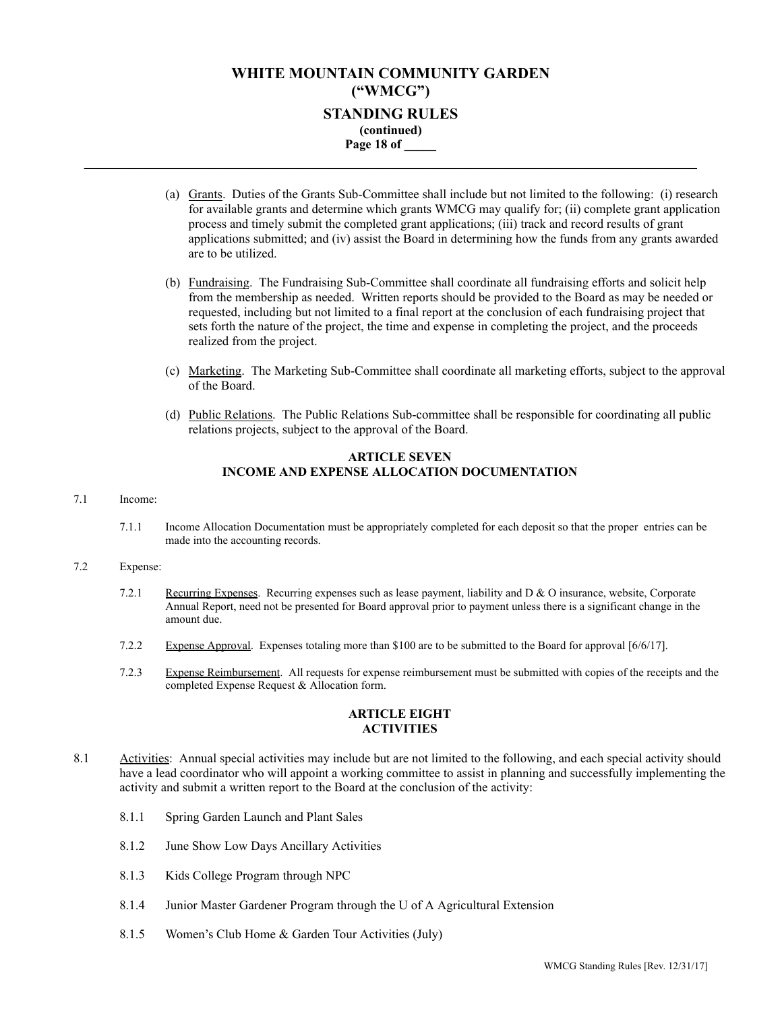## **WHITE MOUNTAIN COMMUNITY GARDEN ("WMCG") STANDING RULES (continued) Page 18 of \_\_\_\_\_ \_\_\_\_\_\_\_\_\_\_\_\_\_\_\_\_\_\_\_\_\_\_\_\_\_\_\_\_\_\_\_\_\_\_\_\_\_\_\_\_\_\_\_\_\_\_\_\_\_\_\_\_\_\_\_\_\_\_\_\_\_\_\_\_\_\_\_\_\_\_\_\_\_\_\_\_\_\_\_\_**

- (a) Grants. Duties of the Grants Sub-Committee shall include but not limited to the following: (i) research for available grants and determine which grants WMCG may qualify for; (ii) complete grant application process and timely submit the completed grant applications; (iii) track and record results of grant applications submitted; and (iv) assist the Board in determining how the funds from any grants awarded are to be utilized.
- (b) Fundraising. The Fundraising Sub-Committee shall coordinate all fundraising efforts and solicit help from the membership as needed. Written reports should be provided to the Board as may be needed or requested, including but not limited to a final report at the conclusion of each fundraising project that sets forth the nature of the project, the time and expense in completing the project, and the proceeds realized from the project.
- (c) Marketing. The Marketing Sub-Committee shall coordinate all marketing efforts, subject to the approval of the Board.
- (d) Public Relations. The Public Relations Sub-committee shall be responsible for coordinating all public relations projects, subject to the approval of the Board.

### **ARTICLE SEVEN INCOME AND EXPENSE ALLOCATION DOCUMENTATION**

#### 7.1 Income:

7.1.1 Income Allocation Documentation must be appropriately completed for each deposit so that the proper entries can be made into the accounting records.

#### 7.2 Expense:

- 7.2.1 Recurring Expenses. Recurring expenses such as lease payment, liability and  $D \& O$  insurance, website, Corporate Annual Report, need not be presented for Board approval prior to payment unless there is a significant change in the amount due.
- 7.2.2 Expense Approval. Expenses totaling more than \$100 are to be submitted to the Board for approval [6/6/17].
- 7.2.3 Expense Reimbursement. All requests for expense reimbursement must be submitted with copies of the receipts and the completed Expense Request & Allocation form.

### **ARTICLE EIGHT ACTIVITIES**

- 8.1 Activities: Annual special activities may include but are not limited to the following, and each special activity should have a lead coordinator who will appoint a working committee to assist in planning and successfully implementing the activity and submit a written report to the Board at the conclusion of the activity:
	- 8.1.1 Spring Garden Launch and Plant Sales
	- 8.1.2 June Show Low Days Ancillary Activities
	- 8.1.3 Kids College Program through NPC
	- 8.1.4 Junior Master Gardener Program through the U of A Agricultural Extension
	- 8.1.5 Women's Club Home & Garden Tour Activities (July)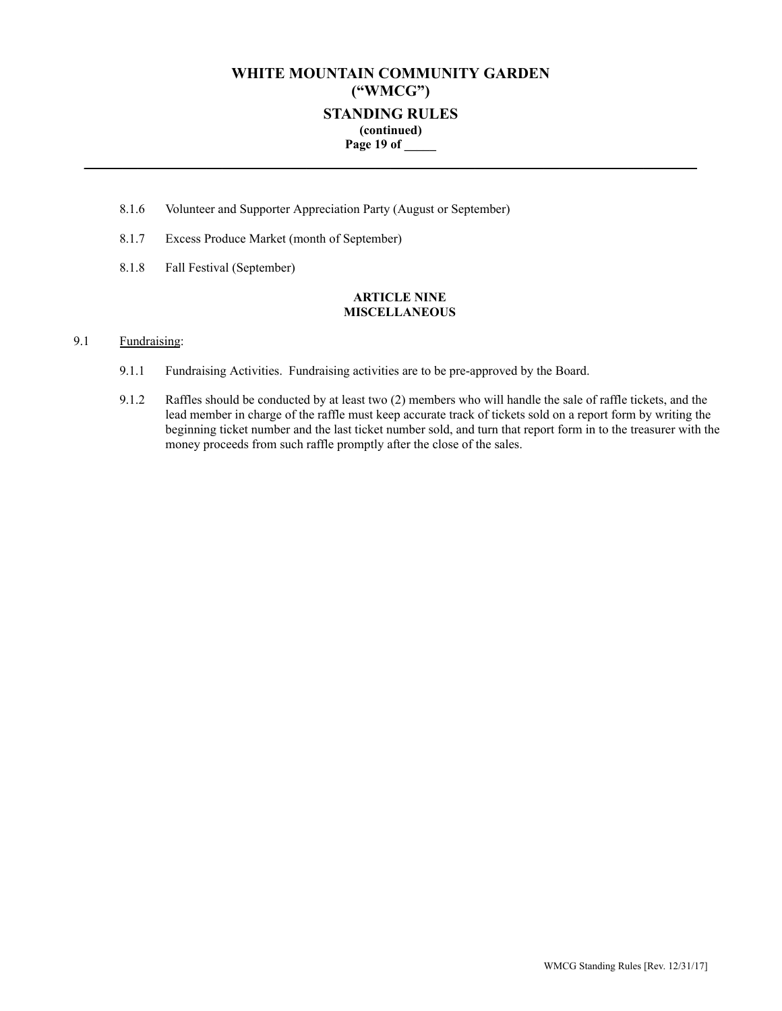# **WHITE MOUNTAIN COMMUNITY GARDEN ("WMCG") STANDING RULES (continued) Page 19 of \_\_\_\_\_**

**\_\_\_\_\_\_\_\_\_\_\_\_\_\_\_\_\_\_\_\_\_\_\_\_\_\_\_\_\_\_\_\_\_\_\_\_\_\_\_\_\_\_\_\_\_\_\_\_\_\_\_\_\_\_\_\_\_\_\_\_\_\_\_\_\_\_\_\_\_\_\_\_\_\_\_\_\_\_\_\_**

- 8.1.6 Volunteer and Supporter Appreciation Party (August or September)
- 8.1.7 Excess Produce Market (month of September)
- 8.1.8 Fall Festival (September)

### **ARTICLE NINE MISCELLANEOUS**

### 9.1 Fundraising:

- 9.1.1 Fundraising Activities. Fundraising activities are to be pre-approved by the Board.
- 9.1.2 Raffles should be conducted by at least two (2) members who will handle the sale of raffle tickets, and the lead member in charge of the raffle must keep accurate track of tickets sold on a report form by writing the beginning ticket number and the last ticket number sold, and turn that report form in to the treasurer with the money proceeds from such raffle promptly after the close of the sales.